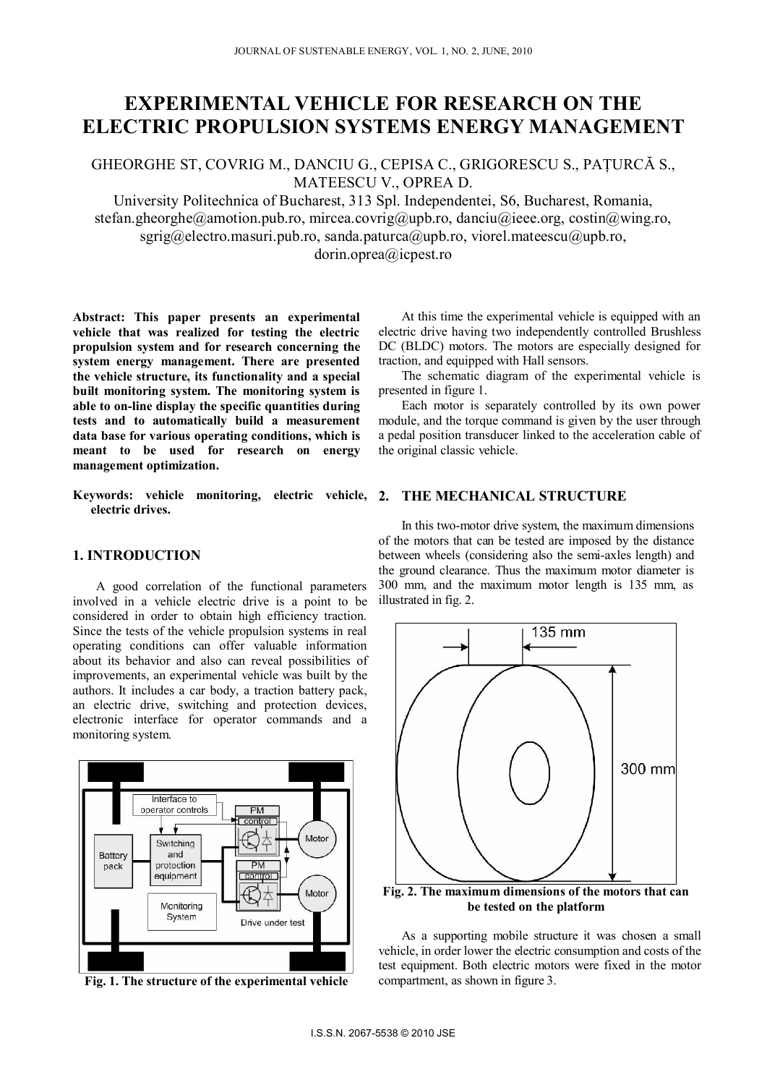# **EXPERIMENTAL VEHICLE FOR RESEARCH ON THE ELECTRIC PROPULSION SYSTEMS ENERGY MANAGEMENT**

GHEORGHE ST, COVRIG M., DANCIU G., CEPISA C., GRIGORESCU S., PAŢURCĂ S., MATEESCU V., OPREA D.

University Politechnica of Bucharest, 313 Spl. Independentei, S6, Bucharest, Romania, stefan.gheorghe@amotion.pub.ro, mircea.covrig@upb.ro, danciu@ieee.org, costin@wing.ro,  $sgrig@electro.masuri.pub-ro, sanda.paturea@upb-ro, viorel.matescu@upb-ro,$ dorin.oprea@icpest.ro

**Abstract: This paper presents an experimental vehicle that was realized for testing the electric propulsion system and for research concerning the system energy management. There are presented the vehicle structure, its functionality and a special built monitoring system. The monitoring system is able to on-line display the specific quantities during** 

**tests and to automatically build a measurement data base for various operating conditions, which is meant to be used for research on energy management optimization.** 

**Keywords: vehicle monitoring, electric vehicle, 2. THE MECHANICAL STRUCTURE electric drives.**

## **1. INTRODUCTION**

A good correlation of the functional parameters involved in a vehicle electric drive is a point to be considered in order to obtain high efficiency traction. Since the tests of the vehicle propulsion systems in real operating conditions can offer valuable information about its behavior and also can reveal possibilities of improvements, an experimental vehicle was built by the authors. It includes a car body, a traction battery pack, an electric drive, switching and protection devices, electronic interface for operator commands and a monitoring system.



**Fig. 1. The structure of the experimental vehicle**

At this time the experimental vehicle is equipped with an electric drive having two independently controlled Brushless DC (BLDC) motors. The motors are especially designed for traction, and equipped with Hall sensors.

The schematic diagram of the experimental vehicle is presented in figure 1.

Each motor is separately controlled by its own power module, and the torque command is given by the user through a pedal position transducer linked to the acceleration cable of the original classic vehicle.

In this two-motor drive system, the maximum dimensions of the motors that can be tested are imposed by the distance between wheels (considering also the semi-axles length) and the ground clearance. Thus the maximum motor diameter is 300 mm, and the maximum motor length is 135 mm, as illustrated in fig. 2.



**Fig. 2. The maximum dimensions of the motors that can be tested on the platform** 

As a supporting mobile structure it was chosen a small vehicle, in order lower the electric consumption and costs of the test equipment. Both electric motors were fixed in the motor compartment, as shown in figure 3.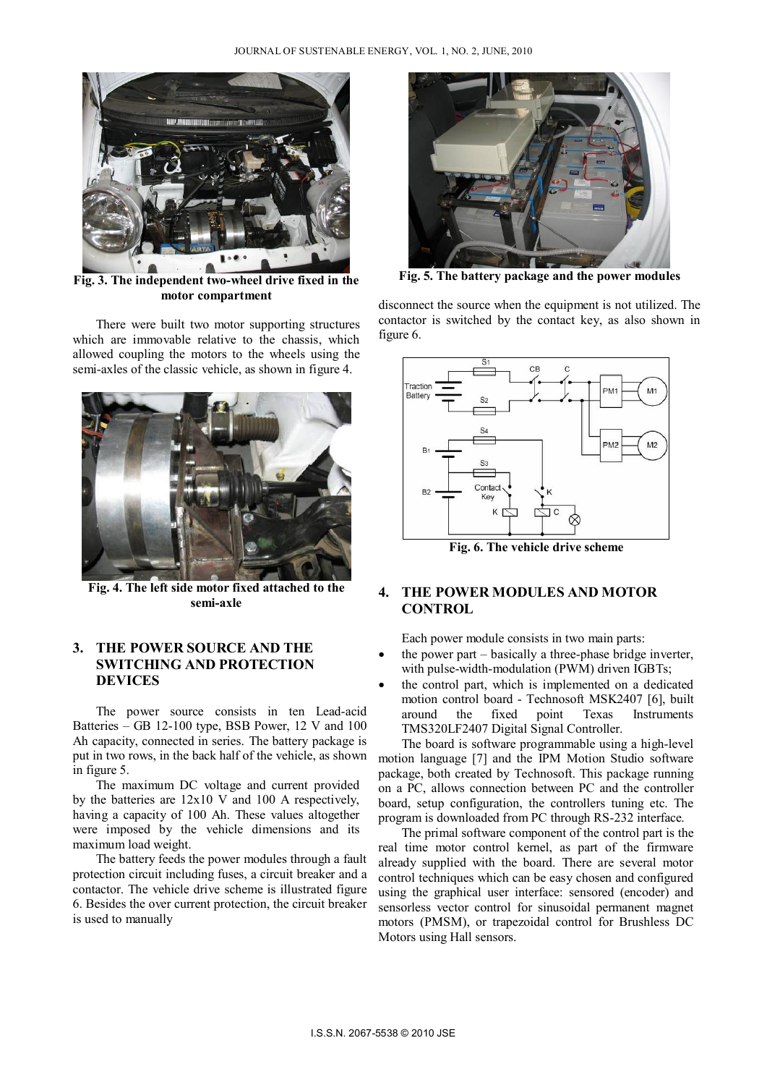

**Fig. 3. The independent two-wheel drive fixed in the motor compartment**

There were built two motor supporting structures which are immovable relative to the chassis, which allowed coupling the motors to the wheels using the semi-axles of the classic vehicle, as shown in figure 4.



**Fig. 4. The left side motor fixed attached to the semi-axle** 

## **3. THE POWER SOURCE AND THE SWITCHING AND PROTECTION DEVICES**

The power source consists in ten Lead-acid Batteries – GB 12-100 type, BSB Power, 12 V and 100 Ah capacity, connected in series. The battery package is put in two rows, in the back half of the vehicle, as shown in figure 5.

The maximum DC voltage and current provided by the batteries are 12x10 V and 100 A respectively, having a capacity of 100 Ah. These values altogether were imposed by the vehicle dimensions and its maximum load weight.

 The battery feeds the power modules through a fault protection circuit including fuses, a circuit breaker and a contactor. The vehicle drive scheme is illustrated figure 6. Besides the over current protection, the circuit breaker is used to manually



**Fig. 5. The battery package and the power modules** 

disconnect the source when the equipment is not utilized. The contactor is switched by the contact key, as also shown in figure 6.



**Fig. 6. The vehicle drive scheme** 

## **4. THE POWER MODULES AND MOTOR CONTROL**

Each power module consists in two main parts:

- the power part basically a three-phase bridge inverter, with pulse-width-modulation (PWM) driven IGBTs;
- the control part, which is implemented on a dedicated motion control board - Technosoft MSK2407 [6], built around the fixed point Texas Instruments TMS320LF2407 Digital Signal Controller.

The board is software programmable using a high-level motion language [7] and the IPM Motion Studio software package, both created by Technosoft. This package running on a PC, allows connection between PC and the controller board, setup configuration, the controllers tuning etc. The program is downloaded from PC through RS-232 interface.

The primal software component of the control part is the real time motor control kernel, as part of the firmware already supplied with the board. There are several motor control techniques which can be easy chosen and configured using the graphical user interface: sensored (encoder) and sensorless vector control for sinusoidal permanent magnet motors (PMSM), or trapezoidal control for Brushless DC Motors using Hall sensors.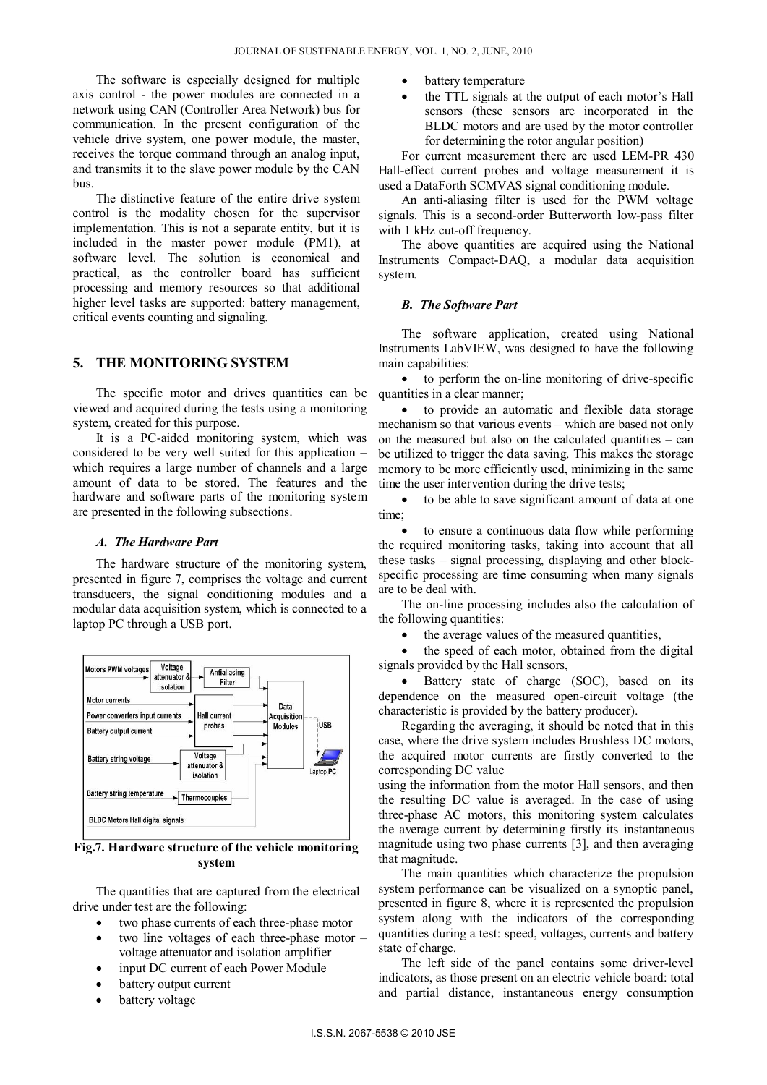The software is especially designed for multiple axis control - the power modules are connected in a network using CAN (Controller Area Network) bus for communication. In the present configuration of the vehicle drive system, one power module, the master, receives the torque command through an analog input, and transmits it to the slave power module by the CAN bus.

The distinctive feature of the entire drive system control is the modality chosen for the supervisor implementation. This is not a separate entity, but it is included in the master power module (PM1), at software level. The solution is economical and practical, as the controller board has sufficient processing and memory resources so that additional higher level tasks are supported: battery management, critical events counting and signaling.

### **5. THE MONITORING SYSTEM**

The specific motor and drives quantities can be viewed and acquired during the tests using a monitoring system, created for this purpose.

It is a PC-aided monitoring system, which was considered to be very well suited for this application – which requires a large number of channels and a large amount of data to be stored. The features and the hardware and software parts of the monitoring system are presented in the following subsections.

#### *A. The Hardware Part*

The hardware structure of the monitoring system, presented in figure 7, comprises the voltage and current transducers, the signal conditioning modules and a modular data acquisition system, which is connected to a laptop PC through a USB port.



**Fig.7. Hardware structure of the vehicle monitoring system** 

The quantities that are captured from the electrical drive under test are the following:

- two phase currents of each three-phase motor
- two line voltages of each three-phase motor voltage attenuator and isolation amplifier
- input DC current of each Power Module
- battery output current
- battery voltage
- battery temperature
- the TTL signals at the output of each motor's Hall sensors (these sensors are incorporated in the BLDC motors and are used by the motor controller for determining the rotor angular position)

For current measurement there are used LEM-PR 430 Hall-effect current probes and voltage measurement it is used a DataForth SCMVAS signal conditioning module.

An anti-aliasing filter is used for the PWM voltage signals. This is a second-order Butterworth low-pass filter with 1 kHz cut-off frequency.

The above quantities are acquired using the National Instruments Compact-DAQ, a modular data acquisition system.

#### *B. The Software Part*

The software application, created using National Instruments LabVIEW, was designed to have the following main capabilities:

 to perform the on-line monitoring of drive-specific quantities in a clear manner;

 to provide an automatic and flexible data storage mechanism so that various events – which are based not only on the measured but also on the calculated quantities – can be utilized to trigger the data saving. This makes the storage memory to be more efficiently used, minimizing in the same time the user intervention during the drive tests;

 to be able to save significant amount of data at one time;

 to ensure a continuous data flow while performing the required monitoring tasks, taking into account that all these tasks – signal processing, displaying and other blockspecific processing are time consuming when many signals are to be deal with.

The on-line processing includes also the calculation of the following quantities:

the average values of the measured quantities,

 the speed of each motor, obtained from the digital signals provided by the Hall sensors,

 Battery state of charge (SOC), based on its dependence on the measured open-circuit voltage (the characteristic is provided by the battery producer).

Regarding the averaging, it should be noted that in this case, where the drive system includes Brushless DC motors, the acquired motor currents are firstly converted to the corresponding DC value

using the information from the motor Hall sensors, and then the resulting DC value is averaged. In the case of using three-phase AC motors, this monitoring system calculates the average current by determining firstly its instantaneous magnitude using two phase currents [3], and then averaging that magnitude.

The main quantities which characterize the propulsion system performance can be visualized on a synoptic panel, presented in figure 8, where it is represented the propulsion system along with the indicators of the corresponding quantities during a test: speed, voltages, currents and battery state of charge.

The left side of the panel contains some driver-level indicators, as those present on an electric vehicle board: total and partial distance, instantaneous energy consumption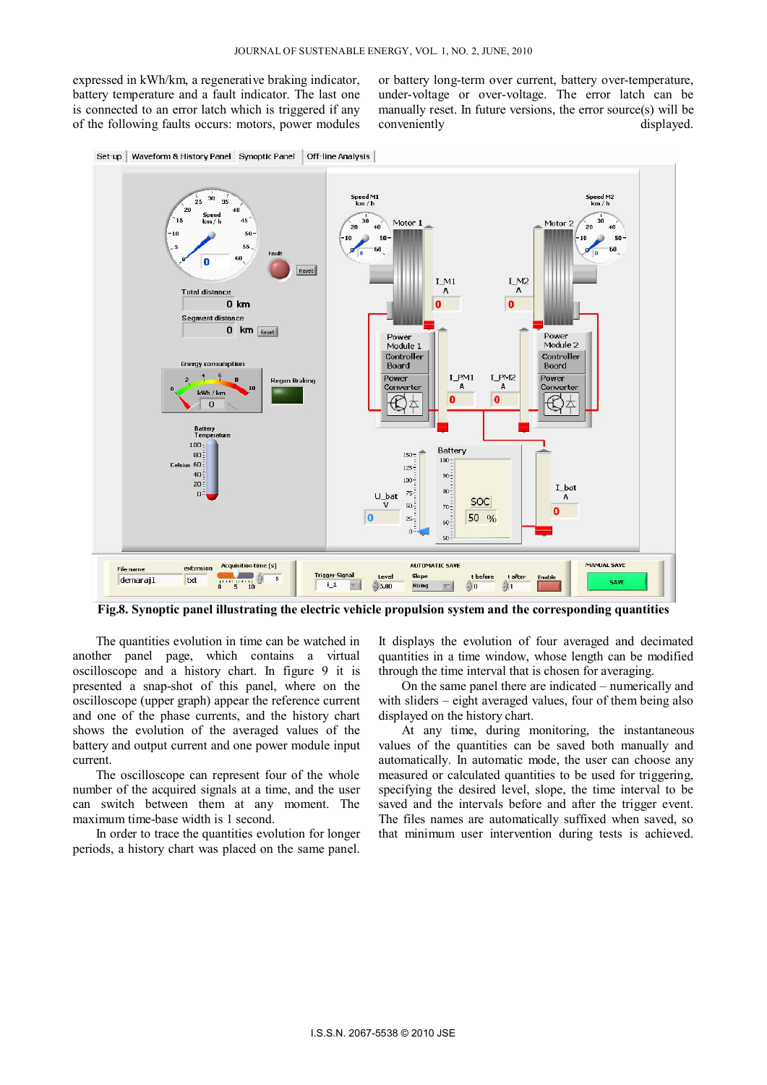expressed in kWh/km, a regenerative braking indicator, battery temperature and a fault indicator. The last one is connected to an error latch which is triggered if any of the following faults occurs: motors, power modules

or battery long-term over current, battery over-temperature, under-voltage or over-voltage. The error latch can be manually reset. In future versions, the error source(s) will be conveniently displayed.





**Fig.8. Synoptic panel illustrating the electric vehicle propulsion system and the corresponding quantities** 

The quantities evolution in time can be watched in another panel page, which contains a virtual oscilloscope and a history chart. In figure 9 it is presented a snap-shot of this panel, where on the oscilloscope (upper graph) appear the reference current and one of the phase currents, and the history chart shows the evolution of the averaged values of the battery and output current and one power module input current.

The oscilloscope can represent four of the whole number of the acquired signals at a time, and the user can switch between them at any moment. The maximum time-base width is 1 second.

In order to trace the quantities evolution for longer periods, a history chart was placed on the same panel.

It displays the evolution of four averaged and decimated quantities in a time window, whose length can be modified through the time interval that is chosen for averaging.

On the same panel there are indicated – numerically and with sliders – eight averaged values, four of them being also displayed on the history chart.

At any time, during monitoring, the instantaneous values of the quantities can be saved both manually and automatically. In automatic mode, the user can choose any measured or calculated quantities to be used for triggering, specifying the desired level, slope, the time interval to be saved and the intervals before and after the trigger event. The files names are automatically suffixed when saved, so that minimum user intervention during tests is achieved.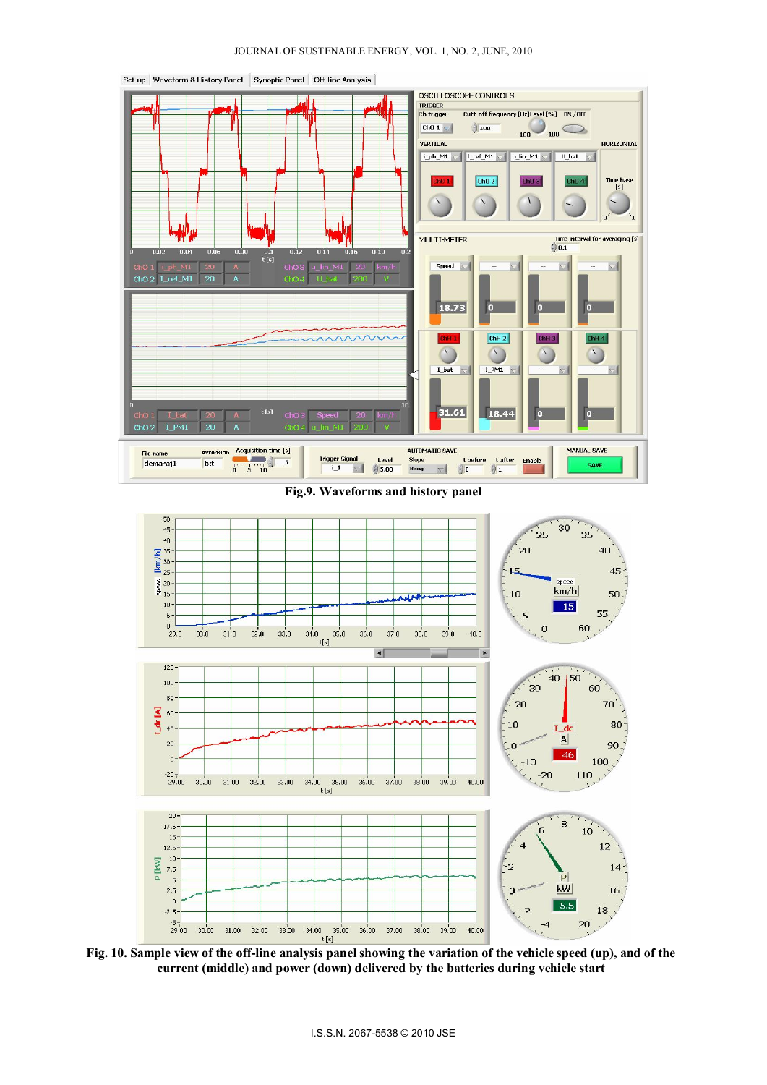

**Fig.9. Waveforms and history panel** 



**Fig. 10. Sample view of the off-line analysis panel showing the variation of the vehicle speed (up), and of the current (middle) and power (down) delivered by the batteries during vehicle start**